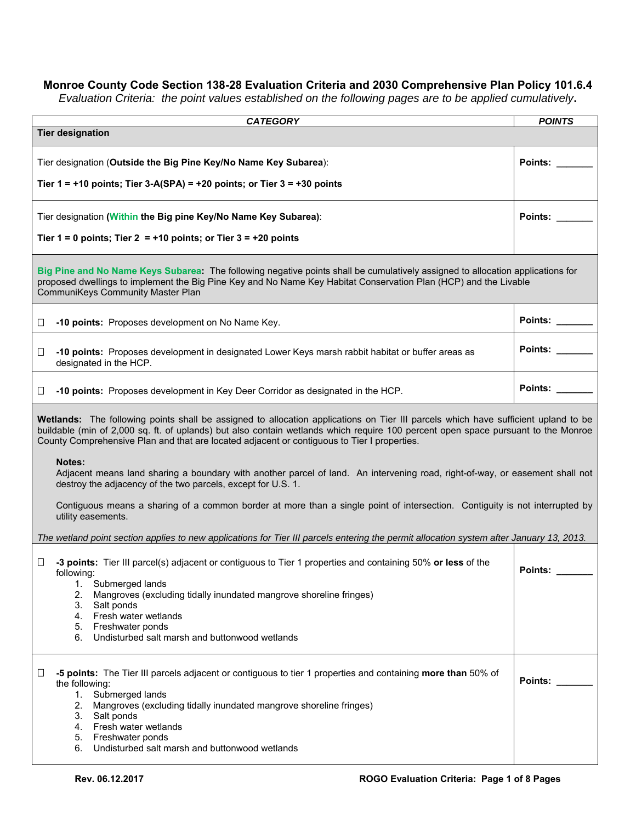## **Monroe County Code Section 138-28 Evaluation Criteria and 2030 Comprehensive Plan Policy 101.6.4**

*Evaluation Criteria: the point values established on the following pages are to be applied cumulatively***.** 

| <b>CATEGORY</b>                                                                                                                                                                                                                                                                                                                                                                                                                                                                                                         | <b>POINTS</b>  |  |
|-------------------------------------------------------------------------------------------------------------------------------------------------------------------------------------------------------------------------------------------------------------------------------------------------------------------------------------------------------------------------------------------------------------------------------------------------------------------------------------------------------------------------|----------------|--|
| <b>Tier designation</b>                                                                                                                                                                                                                                                                                                                                                                                                                                                                                                 |                |  |
| Tier designation (Outside the Big Pine Key/No Name Key Subarea):                                                                                                                                                                                                                                                                                                                                                                                                                                                        | Points:        |  |
| Tier $1 = +10$ points; Tier 3-A(SPA) = $+20$ points; or Tier $3 = +30$ points                                                                                                                                                                                                                                                                                                                                                                                                                                           |                |  |
|                                                                                                                                                                                                                                                                                                                                                                                                                                                                                                                         |                |  |
| Tier designation (Within the Big pine Key/No Name Key Subarea):                                                                                                                                                                                                                                                                                                                                                                                                                                                         | <b>Points:</b> |  |
| Tier $1 = 0$ points; Tier $2 = +10$ points; or Tier $3 = +20$ points                                                                                                                                                                                                                                                                                                                                                                                                                                                    |                |  |
| Big Pine and No Name Keys Subarea: The following negative points shall be cumulatively assigned to allocation applications for<br>proposed dwellings to implement the Big Pine Key and No Name Key Habitat Conservation Plan (HCP) and the Livable<br>CommuniKeys Community Master Plan                                                                                                                                                                                                                                 |                |  |
| -10 points: Proposes development on No Name Key.<br>⊔                                                                                                                                                                                                                                                                                                                                                                                                                                                                   | <b>Points:</b> |  |
| -10 points: Proposes development in designated Lower Keys marsh rabbit habitat or buffer areas as<br>⊔<br>designated in the HCP.                                                                                                                                                                                                                                                                                                                                                                                        | Points:        |  |
| -10 points: Proposes development in Key Deer Corridor as designated in the HCP.<br>Ш                                                                                                                                                                                                                                                                                                                                                                                                                                    | Points:        |  |
| Wetlands: The following points shall be assigned to allocation applications on Tier III parcels which have sufficient upland to be<br>buildable (min of 2,000 sq. ft. of uplands) but also contain wetlands which require 100 percent open space pursuant to the Monroe<br>County Comprehensive Plan and that are located adjacent or contiguous to Tier I properties.<br><b>Notes:</b><br>Adjacent means land sharing a boundary with another parcel of land. An intervening road, right-of-way, or easement shall not |                |  |
| destroy the adjacency of the two parcels, except for U.S. 1.<br>Contiguous means a sharing of a common border at more than a single point of intersection. Contiguity is not interrupted by                                                                                                                                                                                                                                                                                                                             |                |  |
| utility easements.                                                                                                                                                                                                                                                                                                                                                                                                                                                                                                      |                |  |
| The wetland point section applies to new applications for Tier III parcels entering the permit allocation system after January 13, 2013.                                                                                                                                                                                                                                                                                                                                                                                |                |  |
| -3 points: Tier III parcel(s) adjacent or contiguous to Tier 1 properties and containing 50% or less of the<br>$\Box$<br>following:<br>Submerged lands<br>1.<br>2.<br>Mangroves (excluding tidally inundated mangrove shoreline fringes)                                                                                                                                                                                                                                                                                | Points:        |  |
| 3.<br>Salt ponds<br>Fresh water wetlands<br>4.<br>5. Freshwater ponds                                                                                                                                                                                                                                                                                                                                                                                                                                                   |                |  |
| 6.<br>Undisturbed salt marsh and button wood wetlands                                                                                                                                                                                                                                                                                                                                                                                                                                                                   |                |  |
| -5 points: The Tier III parcels adjacent or contiguous to tier 1 properties and containing more than 50% of<br>Ш<br>the following:<br>Submerged lands<br>1.<br>2.<br>Mangroves (excluding tidally inundated mangrove shoreline fringes)<br>Salt ponds<br>3.<br>4. Fresh water wetlands<br>5. Freshwater ponds<br>6.<br>Undisturbed salt marsh and buttonwood wetlands                                                                                                                                                   | <b>Points:</b> |  |
|                                                                                                                                                                                                                                                                                                                                                                                                                                                                                                                         |                |  |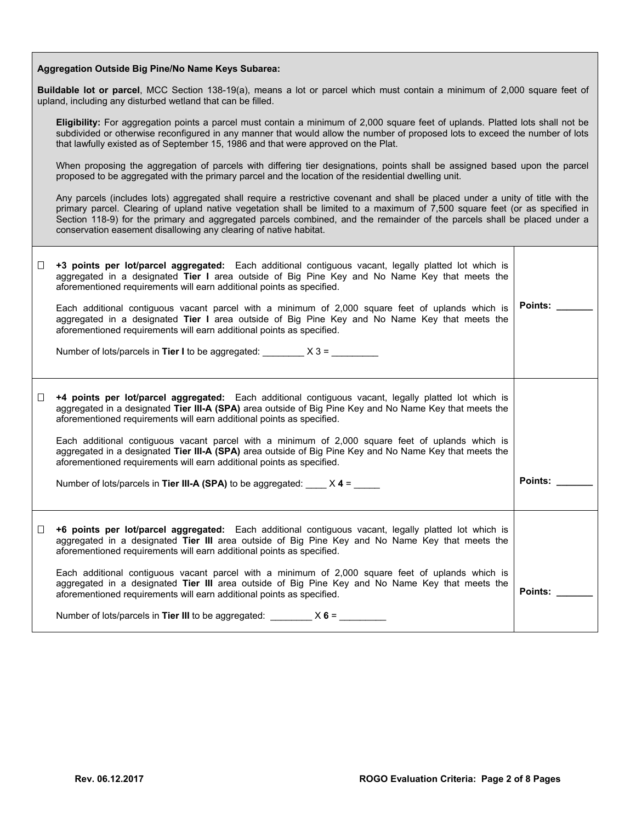| Aggregation Outside Big Pine/No Name Keys Subarea: |  |  |  |  |
|----------------------------------------------------|--|--|--|--|
|----------------------------------------------------|--|--|--|--|

**Buildable lot or parcel**, MCC Section 138-19(a), means a lot or parcel which must contain a minimum of 2,000 square feet of upland, including any disturbed wetland that can be filled.

**Eligibility:** For aggregation points a parcel must contain a minimum of 2,000 square feet of uplands. Platted lots shall not be subdivided or otherwise reconfigured in any manner that would allow the number of proposed lots to exceed the number of lots that lawfully existed as of September 15, 1986 and that were approved on the Plat.

When proposing the aggregation of parcels with differing tier designations, points shall be assigned based upon the parcel proposed to be aggregated with the primary parcel and the location of the residential dwelling unit.

Any parcels (includes lots) aggregated shall require a restrictive covenant and shall be placed under a unity of title with the primary parcel. Clearing of upland native vegetation shall be limited to a maximum of 7,500 square feet (or as specified in Section 118-9) for the primary and aggregated parcels combined, and the remainder of the parcels shall be placed under a conservation easement disallowing any clearing of native habitat.

| $\Box$ | +3 points per lot/parcel aggregated: Each additional contiguous vacant, legally platted lot which is<br>aggregated in a designated Tier I area outside of Big Pine Key and No Name Key that meets the<br>aforementioned requirements will earn additional points as specified.<br>Each additional contiguous vacant parcel with a minimum of 2,000 square feet of uplands which is<br>aggregated in a designated Tier I area outside of Big Pine Key and No Name Key that meets the<br>aforementioned requirements will earn additional points as specified.<br>Number of lots/parcels in Tier I to be aggregated: $X 3 =$                               | <b>Points:</b> |
|--------|----------------------------------------------------------------------------------------------------------------------------------------------------------------------------------------------------------------------------------------------------------------------------------------------------------------------------------------------------------------------------------------------------------------------------------------------------------------------------------------------------------------------------------------------------------------------------------------------------------------------------------------------------------|----------------|
| □      | +4 points per lot/parcel aggregated: Each additional contiguous vacant, legally platted lot which is<br>aggregated in a designated Tier III-A (SPA) area outside of Big Pine Key and No Name Key that meets the<br>aforementioned requirements will earn additional points as specified.<br>Each additional contiguous vacant parcel with a minimum of 2,000 square feet of uplands which is<br>aggregated in a designated Tier III-A (SPA) area outside of Big Pine Key and No Name Key that meets the<br>aforementioned requirements will earn additional points as specified.<br>Number of lots/parcels in Tier III-A (SPA) to be aggregated: $X 4 =$ | Points:        |
| $\Box$ | +6 points per lot/parcel aggregated: Each additional contiguous vacant, legally platted lot which is<br>aggregated in a designated Tier III area outside of Big Pine Key and No Name Key that meets the<br>aforementioned requirements will earn additional points as specified.<br>Each additional contiguous vacant parcel with a minimum of 2,000 square feet of uplands which is<br>aggregated in a designated Tier III area outside of Big Pine Key and No Name Key that meets the<br>aforementioned requirements will earn additional points as specified.<br>Number of lots/parcels in Tier III to be aggregated: $X 6 =$                         | Points:        |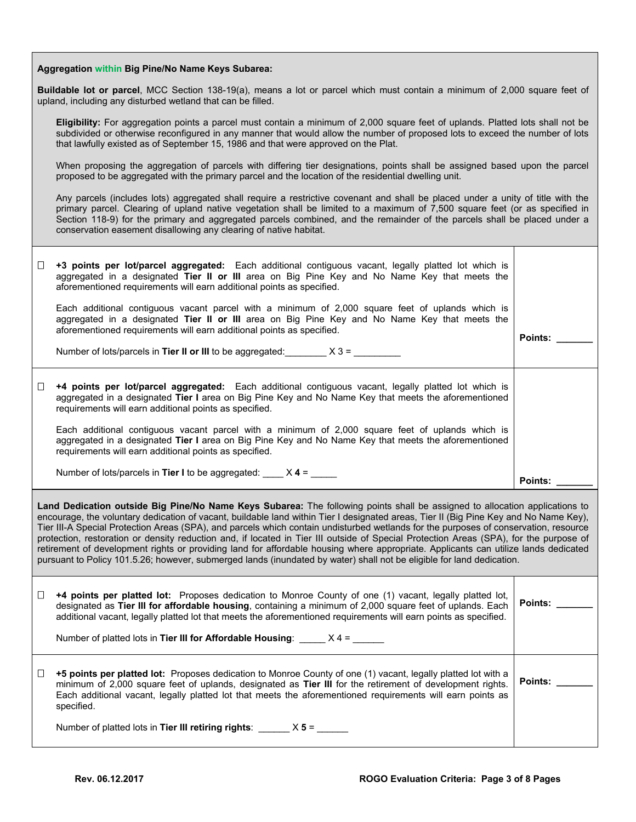## **Aggregation within Big Pine/No Name Keys Subarea:**

**Buildable lot or parcel**, MCC Section 138-19(a), means a lot or parcel which must contain a minimum of 2,000 square feet of upland, including any disturbed wetland that can be filled.

**Eligibility:** For aggregation points a parcel must contain a minimum of 2,000 square feet of uplands. Platted lots shall not be subdivided or otherwise reconfigured in any manner that would allow the number of proposed lots to exceed the number of lots that lawfully existed as of September 15, 1986 and that were approved on the Plat.

When proposing the aggregation of parcels with differing tier designations, points shall be assigned based upon the parcel proposed to be aggregated with the primary parcel and the location of the residential dwelling unit.

Any parcels (includes lots) aggregated shall require a restrictive covenant and shall be placed under a unity of title with the primary parcel. Clearing of upland native vegetation shall be limited to a maximum of 7,500 square feet (or as specified in Section 118-9) for the primary and aggregated parcels combined, and the remainder of the parcels shall be placed under a conservation easement disallowing any clearing of native habitat.

| $\Box$                                                                                                                                                                                                                                                                                                                                                                                                                  | +3 points per lot/parcel aggregated: Each additional contiguous vacant, legally platted lot which is<br>aggregated in a designated Tier II or III area on Big Pine Key and No Name Key that meets the<br>aforementioned requirements will earn additional points as specified.<br>Each additional contiguous vacant parcel with a minimum of 2,000 square feet of uplands which is<br>aggregated in a designated Tier II or III area on Big Pine Key and No Name Key that meets the<br>aforementioned requirements will earn additional points as specified.<br>Number of lots/parcels in Tier II or III to be aggregated: $X 3 =$ | Points:        |
|-------------------------------------------------------------------------------------------------------------------------------------------------------------------------------------------------------------------------------------------------------------------------------------------------------------------------------------------------------------------------------------------------------------------------|------------------------------------------------------------------------------------------------------------------------------------------------------------------------------------------------------------------------------------------------------------------------------------------------------------------------------------------------------------------------------------------------------------------------------------------------------------------------------------------------------------------------------------------------------------------------------------------------------------------------------------|----------------|
| □                                                                                                                                                                                                                                                                                                                                                                                                                       | <b>+4 points per lot/parcel aggregated:</b> Each additional contiguous vacant, legally platted lot which is<br>aggregated in a designated Tier I area on Big Pine Key and No Name Key that meets the aforementioned<br>requirements will earn additional points as specified.<br>Each additional contiguous vacant parcel with a minimum of 2,000 square feet of uplands which is<br>aggregated in a designated Tier I area on Big Pine Key and No Name Key that meets the aforementioned<br>requirements will earn additional points as specified.<br>Number of lots/parcels in Tier I to be aggregated: $X = 4$ = ____           |                |
| Points:<br>Land Dedication outside Big Pine/No Name Keys Subarea: The following points shall be assigned to allocation applications to<br>encourage, the voluntary dedication of vacant, buildable land within Tier I designated areas, Tier II (Big Pine Key and No Name Key),<br>Tier III-A Special Protection Areas (SPA), and parcels which contain undisturbed wetlands for the purposes of conservation, resource |                                                                                                                                                                                                                                                                                                                                                                                                                                                                                                                                                                                                                                    |                |
|                                                                                                                                                                                                                                                                                                                                                                                                                         | protection, restoration or density reduction and, if located in Tier III outside of Special Protection Areas (SPA), for the purpose of<br>retirement of development rights or providing land for affordable housing where appropriate. Applicants can utilize lands dedicated<br>pursuant to Policy 101.5.26; however, submerged lands (inundated by water) shall not be eligible for land dedication.                                                                                                                                                                                                                             |                |
| □                                                                                                                                                                                                                                                                                                                                                                                                                       | +4 points per platted lot: Proposes dedication to Monroe County of one (1) vacant, legally platted lot,<br>designated as Tier III for affordable housing, containing a minimum of 2,000 square feet of uplands. Each<br>additional vacant, legally platted lot that meets the aforementioned requirements will earn points as specified.                                                                                                                                                                                                                                                                                           | <b>Points:</b> |
|                                                                                                                                                                                                                                                                                                                                                                                                                         | Number of platted lots in Tier III for Affordable Housing: $X = 4$ = $X = 1$                                                                                                                                                                                                                                                                                                                                                                                                                                                                                                                                                       |                |
| ⊔                                                                                                                                                                                                                                                                                                                                                                                                                       |                                                                                                                                                                                                                                                                                                                                                                                                                                                                                                                                                                                                                                    |                |
|                                                                                                                                                                                                                                                                                                                                                                                                                         | +5 points per platted lot: Proposes dedication to Monroe County of one (1) vacant, legally platted lot with a<br>minimum of 2,000 square feet of uplands, designated as Tier III for the retirement of development rights.<br>Each additional vacant, legally platted lot that meets the aforementioned requirements will earn points as<br>specified.                                                                                                                                                                                                                                                                             | Points:        |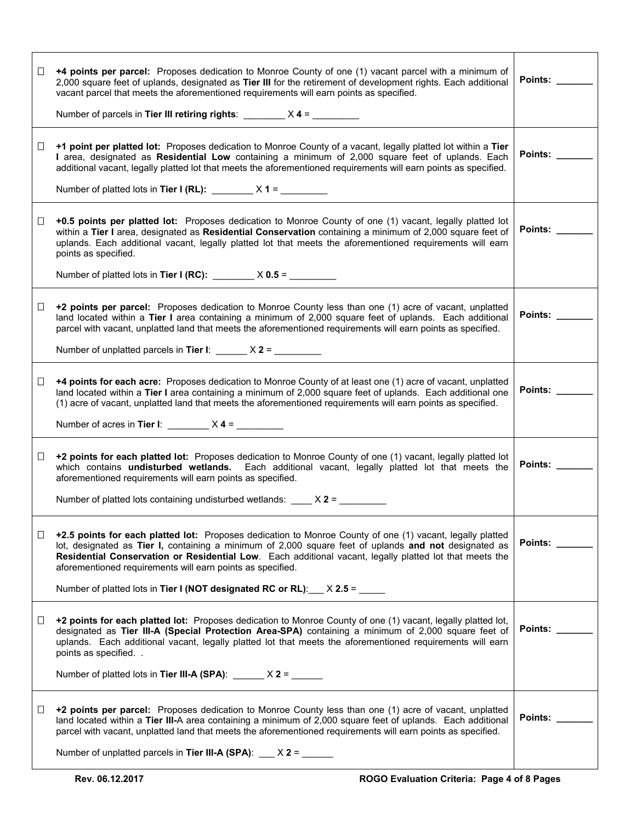| ⊔ | +4 points per parcel: Proposes dedication to Monroe County of one (1) vacant parcel with a minimum of<br>2,000 square feet of uplands, designated as Tier III for the retirement of development rights. Each additional<br>vacant parcel that meets the aforementioned requirements will earn points as specified.<br>Number of parcels in Tier III retiring rights: $\frac{\ }{\ }$ $\frac{\ }{\ }$ $\frac{\ }{\ }$ $\frac{\ }{\ }$ $\frac{\ }{\ }$ $\frac{\ }{\ }$ $\frac{\ }{\ }$ | Points:                    |
|---|--------------------------------------------------------------------------------------------------------------------------------------------------------------------------------------------------------------------------------------------------------------------------------------------------------------------------------------------------------------------------------------------------------------------------------------------------------------------------------------|----------------------------|
| Ш | +1 point per platted lot: Proposes dedication to Monroe County of a vacant, legally platted lot within a Tier<br>I area, designated as Residential Low containing a minimum of 2,000 square feet of uplands. Each<br>additional vacant, legally platted lot that meets the aforementioned requirements will earn points as specified.<br>Number of platted lots in Tier I (RL): $\frac{1}{2}$ X 1 = $\frac{1}{2}$                                                                    | Points: <b>Points</b>      |
| ⊔ | +0.5 points per platted lot: Proposes dedication to Monroe County of one (1) vacant, legally platted lot<br>within a Tier I area, designated as Residential Conservation containing a minimum of 2,000 square feet of<br>uplands. Each additional vacant, legally platted lot that meets the aforementioned requirements will earn<br>points as specified.                                                                                                                           | Points: <b>Example</b>     |
|   | Number of platted lots in Tier I (RC): $\frac{1}{100}$ X 0.5 = $\frac{1}{100}$                                                                                                                                                                                                                                                                                                                                                                                                       |                            |
| □ | +2 points per parcel: Proposes dedication to Monroe County less than one (1) acre of vacant, unplatted<br>land located within a Tier I area containing a minimum of 2,000 square feet of uplands. Each additional<br>parcel with vacant, unplatted land that meets the aforementioned requirements will earn points as specified.                                                                                                                                                    | Points: <b>Provint</b>     |
|   | Number of unplatted parcels in Tier I: $\frac{1}{2}$ $\times$ 2 = $\frac{1}{2}$                                                                                                                                                                                                                                                                                                                                                                                                      |                            |
| Ц | <b>+4 points for each acre:</b> Proposes dedication to Monroe County of at least one (1) acre of vacant, unplatted<br>land located within a Tier I area containing a minimum of 2,000 square feet of uplands. Each additional one<br>(1) acre of vacant, unplatted land that meets the aforementioned requirements will earn points as specified.                                                                                                                                    | Points:                    |
|   | Number of acres in Tier I: $\frac{1}{2}$ $\times$ 4 = $\frac{1}{2}$                                                                                                                                                                                                                                                                                                                                                                                                                  |                            |
| □ | +2 points for each platted lot: Proposes dedication to Monroe County of one (1) vacant, legally platted lot<br>which contains undisturbed wetlands. Each additional vacant, legally platted lot that meets the<br>aforementioned requirements will earn points as specified.<br>Number of platted lots containing undisturbed wetlands: $\angle X$ 2 = $\angle$                                                                                                                      | Points: <b>Example</b>     |
|   |                                                                                                                                                                                                                                                                                                                                                                                                                                                                                      |                            |
| ⊔ | +2.5 points for each platted lot: Proposes dedication to Monroe County of one (1) vacant, legally platted<br>lot, designated as Tier I, containing a minimum of 2,000 square feet of uplands and not designated as<br>Residential Conservation or Residential Low. Each additional vacant, legally platted lot that meets the<br>aforementioned requirements will earn points as specified.                                                                                          | Points:                    |
|   | Number of platted lots in Tier I (NOT designated RC or RL): $\times$ 2.5 = _____                                                                                                                                                                                                                                                                                                                                                                                                     |                            |
| ⊔ | +2 points for each platted lot: Proposes dedication to Monroe County of one (1) vacant, legally platted lot,<br>designated as Tier III-A (Special Protection Area-SPA) containing a minimum of 2,000 square feet of<br>uplands. Each additional vacant, legally platted lot that meets the aforementioned requirements will earn<br>points as specified<br>Number of platted lots in Tier III-A (SPA): $\frac{1}{2}$ X 2 = $\frac{1}{2}$                                             | Points: <b>Discription</b> |
|   |                                                                                                                                                                                                                                                                                                                                                                                                                                                                                      |                            |
| ⊔ | +2 points per parcel: Proposes dedication to Monroe County less than one (1) acre of vacant, unplatted<br>land located within a Tier III-A area containing a minimum of 2,000 square feet of uplands. Each additional<br>parcel with vacant, unplatted land that meets the aforementioned requirements will earn points as specified.<br>Number of unplatted parcels in Tier III-A (SPA): $X$ 2 = $\frac{1}{1}$                                                                      | Points: <b>Provint</b>     |
|   |                                                                                                                                                                                                                                                                                                                                                                                                                                                                                      |                            |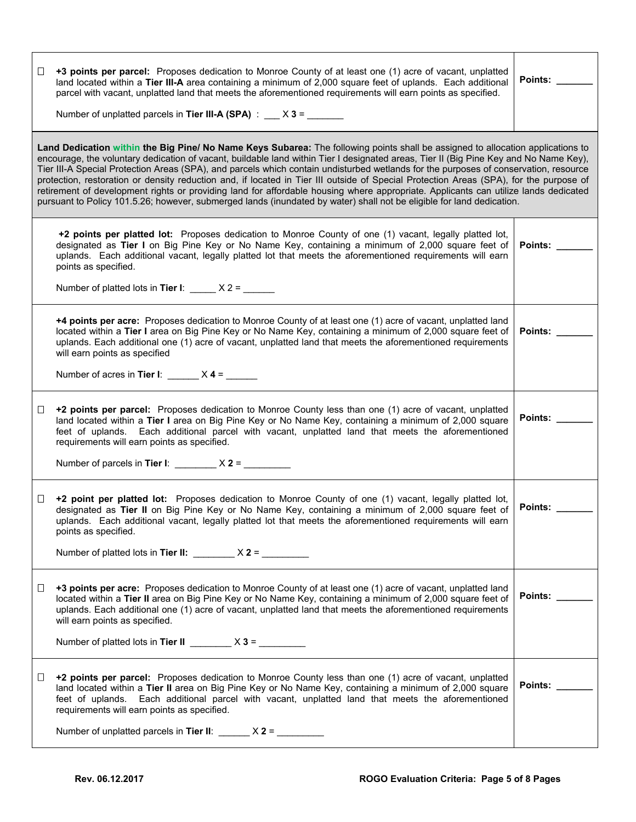| ⊔                                                                                                                                                                                                                                                                                                                                                                                                                                                                                                                                                                                                                                                                                                                                                                                                                          | +3 points per parcel: Proposes dedication to Monroe County of at least one (1) acre of vacant, unplatted<br>land located within a Tier III-A area containing a minimum of 2,000 square feet of uplands. Each additional<br>parcel with vacant, unplatted land that meets the aforementioned requirements will earn points as specified.<br>Number of unplatted parcels in Tier III-A (SPA) : $X3 =$                                                     | Points:                |
|----------------------------------------------------------------------------------------------------------------------------------------------------------------------------------------------------------------------------------------------------------------------------------------------------------------------------------------------------------------------------------------------------------------------------------------------------------------------------------------------------------------------------------------------------------------------------------------------------------------------------------------------------------------------------------------------------------------------------------------------------------------------------------------------------------------------------|---------------------------------------------------------------------------------------------------------------------------------------------------------------------------------------------------------------------------------------------------------------------------------------------------------------------------------------------------------------------------------------------------------------------------------------------------------|------------------------|
| Land Dedication within the Big Pine/ No Name Keys Subarea: The following points shall be assigned to allocation applications to<br>encourage, the voluntary dedication of vacant, buildable land within Tier I designated areas, Tier II (Big Pine Key and No Name Key),<br>Tier III-A Special Protection Areas (SPA), and parcels which contain undisturbed wetlands for the purposes of conservation, resource<br>protection, restoration or density reduction and, if located in Tier III outside of Special Protection Areas (SPA), for the purpose of<br>retirement of development rights or providing land for affordable housing where appropriate. Applicants can utilize lands dedicated<br>pursuant to Policy 101.5.26; however, submerged lands (inundated by water) shall not be eligible for land dedication. |                                                                                                                                                                                                                                                                                                                                                                                                                                                         |                        |
|                                                                                                                                                                                                                                                                                                                                                                                                                                                                                                                                                                                                                                                                                                                                                                                                                            | +2 points per platted lot: Proposes dedication to Monroe County of one (1) vacant, legally platted lot,<br>designated as Tier I on Big Pine Key or No Name Key, containing a minimum of 2,000 square feet of<br>uplands. Each additional vacant, legally platted lot that meets the aforementioned requirements will earn<br>points as specified.<br>Number of platted lots in Tier I: $\_\_\_\_ X$ 2 = $\_\_\_\_\_\_\_$                                | Points: $\_\_$         |
|                                                                                                                                                                                                                                                                                                                                                                                                                                                                                                                                                                                                                                                                                                                                                                                                                            | +4 points per acre: Proposes dedication to Monroe County of at least one (1) acre of vacant, unplatted land<br>located within a Tier I area on Big Pine Key or No Name Key, containing a minimum of 2,000 square feet of<br>uplands. Each additional one (1) acre of vacant, unplatted land that meets the aforementioned requirements<br>will earn points as specified<br>Number of acres in Tier I: $\frac{1}{2}$ X 4 = $\frac{1}{2}$                 | Points: ____           |
| □                                                                                                                                                                                                                                                                                                                                                                                                                                                                                                                                                                                                                                                                                                                                                                                                                          | +2 points per parcel: Proposes dedication to Monroe County less than one (1) acre of vacant, unplatted<br>land located within a Tier I area on Big Pine Key or No Name Key, containing a minimum of 2,000 square<br>feet of uplands. Each additional parcel with vacant, unplatted land that meets the aforementioned<br>requirements will earn points as specified.<br>Number of parcels in Tier I: $\frac{1}{2}$ $\times$ 2 = $\frac{1}{2}$           | Points:                |
| $\Box$                                                                                                                                                                                                                                                                                                                                                                                                                                                                                                                                                                                                                                                                                                                                                                                                                     | +2 point per platted lot: Proposes dedication to Monroe County of one (1) vacant, legally platted lot,<br>designated as Tier II on Big Pine Key or No Name Key, containing a minimum of 2,000 square feet of<br>uplands. Each additional vacant, legally platted lot that meets the aforementioned requirements will earn<br>points as specified.<br>Number of platted lots in Tier II: $\angle x^2 = \angle x$                                         | Points:                |
| □                                                                                                                                                                                                                                                                                                                                                                                                                                                                                                                                                                                                                                                                                                                                                                                                                          | +3 points per acre: Proposes dedication to Monroe County of at least one (1) acre of vacant, unplatted land<br>located within a Tier II area on Big Pine Key or No Name Key, containing a minimum of 2,000 square feet of<br>uplands. Each additional one (1) acre of vacant, unplatted land that meets the aforementioned requirements<br>will earn points as specified.<br>Number of platted lots in Tier II $\frac{1}{2}$ $\times$ 3 = $\frac{1}{2}$ | Points: <b>Example</b> |
| □                                                                                                                                                                                                                                                                                                                                                                                                                                                                                                                                                                                                                                                                                                                                                                                                                          | +2 points per parcel: Proposes dedication to Monroe County less than one (1) acre of vacant, unplatted<br>land located within a Tier II area on Big Pine Key or No Name Key, containing a minimum of 2,000 square<br>feet of uplands. Each additional parcel with vacant, unplatted land that meets the aforementioned<br>requirements will earn points as specified.<br>Number of unplatted parcels in Tier II: $\frac{1}{2}$ X 2 = $\frac{1}{2}$      | Points:                |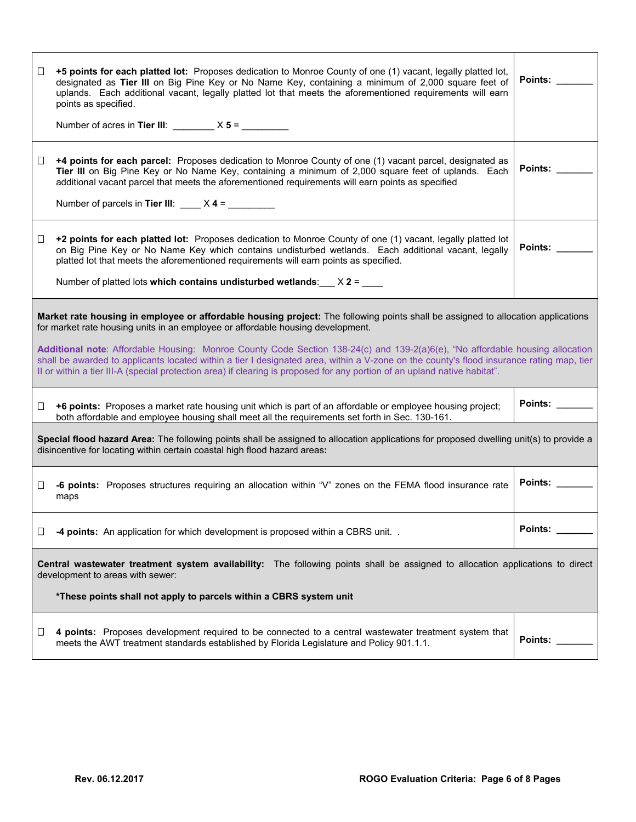| $\Box$ | +5 points for each platted lot: Proposes dedication to Monroe County of one (1) vacant, legally platted lot,<br>designated as Tier III on Big Pine Key or No Name Key, containing a minimum of 2,000 square feet of<br>uplands. Each additional vacant, legally platted lot that meets the aforementioned requirements will earn<br>points as specified.<br>Number of acres in Tier III: $\_\_\_\_\_ X 5 = \_\_\_\_\_\_\_$                                                                                                                                                                                                    | Points:        |  |
|--------|-------------------------------------------------------------------------------------------------------------------------------------------------------------------------------------------------------------------------------------------------------------------------------------------------------------------------------------------------------------------------------------------------------------------------------------------------------------------------------------------------------------------------------------------------------------------------------------------------------------------------------|----------------|--|
| □      | <b>+4 points for each parcel:</b> Proposes dedication to Monroe County of one (1) vacant parcel, designated as<br>Tier III on Big Pine Key or No Name Key, containing a minimum of 2,000 square feet of uplands. Each<br>additional vacant parcel that meets the aforementioned requirements will earn points as specified<br>Number of parcels in Tier III: $X = 4 = 2$                                                                                                                                                                                                                                                      | Points:        |  |
| $\Box$ | +2 points for each platted lot: Proposes dedication to Monroe County of one (1) vacant, legally platted lot<br>on Big Pine Key or No Name Key which contains undisturbed wetlands. Each additional vacant, legally<br>platted lot that meets the aforementioned requirements will earn points as specified.<br>Number of platted lots which contains undisturbed wetlands: $X$ 2 = $X$                                                                                                                                                                                                                                        | Points:        |  |
|        | Market rate housing in employee or affordable housing project: The following points shall be assigned to allocation applications<br>for market rate housing units in an employee or affordable housing development.<br>Additional note: Affordable Housing: Monroe County Code Section 138-24(c) and 139-2(a)6(e), "No affordable housing allocation<br>shall be awarded to applicants located within a tier I designated area, within a V-zone on the county's flood insurance rating map, tier<br>Il or within a tier III-A (special protection area) if clearing is proposed for any portion of an upland native habitat". |                |  |
| $\Box$ | +6 points: Proposes a market rate housing unit which is part of an affordable or employee housing project;<br>both affordable and employee housing shall meet all the requirements set forth in Sec. 130-161.                                                                                                                                                                                                                                                                                                                                                                                                                 | Points: $\_\_$ |  |
|        | Special flood hazard Area: The following points shall be assigned to allocation applications for proposed dwelling unit(s) to provide a<br>disincentive for locating within certain coastal high flood hazard areas:                                                                                                                                                                                                                                                                                                                                                                                                          |                |  |
| ⊔      | -6 points: Proposes structures requiring an allocation within "V" zones on the FEMA flood insurance rate<br>maps                                                                                                                                                                                                                                                                                                                                                                                                                                                                                                              | Points:        |  |
| □      | -4 points: An application for which development is proposed within a CBRS unit. .                                                                                                                                                                                                                                                                                                                                                                                                                                                                                                                                             | Points: _      |  |
|        | Central wastewater treatment system availability: The following points shall be assigned to allocation applications to direct<br>development to areas with sewer:<br>*These points shall not apply to parcels within a CBRS system unit                                                                                                                                                                                                                                                                                                                                                                                       |                |  |
| Ц      | 4 points: Proposes development required to be connected to a central wastewater treatment system that<br>meets the AWT treatment standards established by Florida Legislature and Policy 901.1.1.                                                                                                                                                                                                                                                                                                                                                                                                                             | Points:        |  |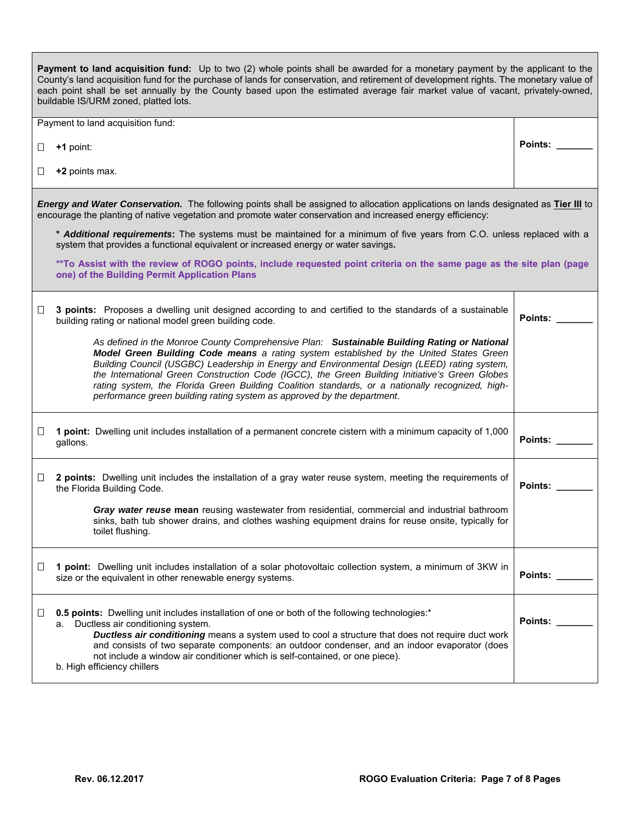|        | Payment to land acquisition fund: Up to two (2) whole points shall be awarded for a monetary payment by the applicant to the<br>County's land acquisition fund for the purchase of lands for conservation, and retirement of development rights. The monetary value of<br>each point shall be set annually by the County based upon the estimated average fair market value of vacant, privately-owned,<br>buildable IS/URM zoned, platted lots.                                                                                                                       |                |
|--------|------------------------------------------------------------------------------------------------------------------------------------------------------------------------------------------------------------------------------------------------------------------------------------------------------------------------------------------------------------------------------------------------------------------------------------------------------------------------------------------------------------------------------------------------------------------------|----------------|
|        | Payment to land acquisition fund:                                                                                                                                                                                                                                                                                                                                                                                                                                                                                                                                      |                |
| ⊔      | +1 point:                                                                                                                                                                                                                                                                                                                                                                                                                                                                                                                                                              | Points:        |
| ⊔      | +2 points max.                                                                                                                                                                                                                                                                                                                                                                                                                                                                                                                                                         |                |
|        | Energy and Water Conservation. The following points shall be assigned to allocation applications on lands designated as Tier III to<br>encourage the planting of native vegetation and promote water conservation and increased energy efficiency:                                                                                                                                                                                                                                                                                                                     |                |
|        | * Additional requirements: The systems must be maintained for a minimum of five years from C.O. unless replaced with a<br>system that provides a functional equivalent or increased energy or water savings.                                                                                                                                                                                                                                                                                                                                                           |                |
|        | **To Assist with the review of ROGO points, include requested point criteria on the same page as the site plan (page<br>one) of the Building Permit Application Plans                                                                                                                                                                                                                                                                                                                                                                                                  |                |
| Ц      | 3 points: Proposes a dwelling unit designed according to and certified to the standards of a sustainable<br>building rating or national model green building code.                                                                                                                                                                                                                                                                                                                                                                                                     | Points:        |
|        | As defined in the Monroe County Comprehensive Plan: Sustainable Building Rating or National<br>Model Green Building Code means a rating system established by the United States Green<br>Building Council (USGBC) Leadership in Energy and Environmental Design (LEED) rating system,<br>the International Green Construction Code (IGCC), the Green Building Initiative's Green Globes<br>rating system, the Florida Green Building Coalition standards, or a nationally recognized, high-<br>performance green building rating system as approved by the department. |                |
| □      | 1 point: Dwelling unit includes installation of a permanent concrete cistern with a minimum capacity of 1,000<br>gallons.                                                                                                                                                                                                                                                                                                                                                                                                                                              | <b>Points:</b> |
| $\Box$ | 2 points: Dwelling unit includes the installation of a gray water reuse system, meeting the requirements of<br>the Florida Building Code.                                                                                                                                                                                                                                                                                                                                                                                                                              | <b>Points:</b> |
|        | Gray water reuse mean reusing wastewater from residential, commercial and industrial bathroom<br>sinks, bath tub shower drains, and clothes washing equipment drains for reuse onsite, typically for<br>toilet flushing.                                                                                                                                                                                                                                                                                                                                               |                |
| ⊔      | 1 point: Dwelling unit includes installation of a solar photovoltaic collection system, a minimum of 3KW in<br>size or the equivalent in other renewable energy systems.                                                                                                                                                                                                                                                                                                                                                                                               | <b>Points:</b> |
| Ш      | 0.5 points: Dwelling unit includes installation of one or both of the following technologies:*<br>Ductless air conditioning system.<br>а.<br>Ductless air conditioning means a system used to cool a structure that does not require duct work<br>and consists of two separate components: an outdoor condenser, and an indoor evaporator (does<br>not include a window air conditioner which is self-contained, or one piece).<br>b. High efficiency chillers                                                                                                         | Points:        |